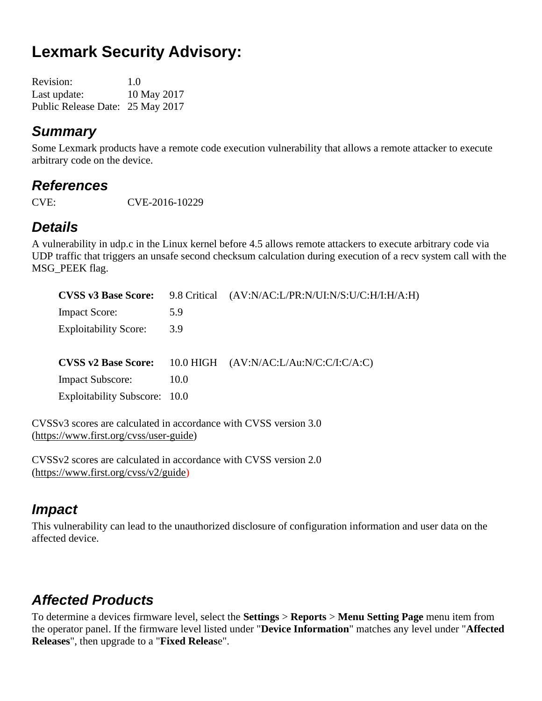# **Lexmark Security Advisory:**

| <b>Revision:</b>                 | 1.0         |
|----------------------------------|-------------|
| Last update:                     | 10 May 2017 |
| Public Release Date: 25 May 2017 |             |

#### *Summary*

Some Lexmark products have a remote code execution vulnerability that allows a remote attacker to execute arbitrary code on the device.

#### *References*

CVE: CVE-2016-10229

## *Details*

A vulnerability in udp.c in the Linux kernel before 4.5 allows remote attackers to execute arbitrary code via UDP traffic that triggers an unsafe second checksum calculation during execution of a recv system call with the MSG\_PEEK flag.

| <b>CVSS v3 Base Score:</b>    | 9.8 Critical | (AV:N/AC:L/PR:N/UI:N/S:U/C:H/I:H/A:H)  |
|-------------------------------|--------------|----------------------------------------|
| <b>Impact Score:</b>          | 5.9          |                                        |
| <b>Exploitability Score:</b>  | 3.9          |                                        |
|                               |              |                                        |
| <b>CVSS v2 Base Score:</b>    |              | 10.0 HIGH (AV:N/AC:L/Au:N/C:C/I:C/A:C) |
| <b>Impact Subscore:</b>       | 10.0         |                                        |
| Exploitability Subscore: 10.0 |              |                                        |

CVSSv3 scores are calculated in accordance with CVSS version 3.0 [\(https://www.first.org/cvss/user-guide\)](https://www.first.org/cvss/user-guide)

CVSSv2 scores are calculated in accordance with CVSS version 2.0 [\(https://www.first.org/cvss/v2/guide\)](https://www.first.org/cvss/v2/guide)

#### *Impact*

This vulnerability can lead to the unauthorized disclosure of configuration information and user data on the affected device.

## *Affected Products*

To determine a devices firmware level, select the **Settings** > **Reports** > **Menu Setting Page** menu item from the operator panel. If the firmware level listed under "**Device Information**" matches any level under "**Affected Releases**", then upgrade to a "**Fixed Releas**e".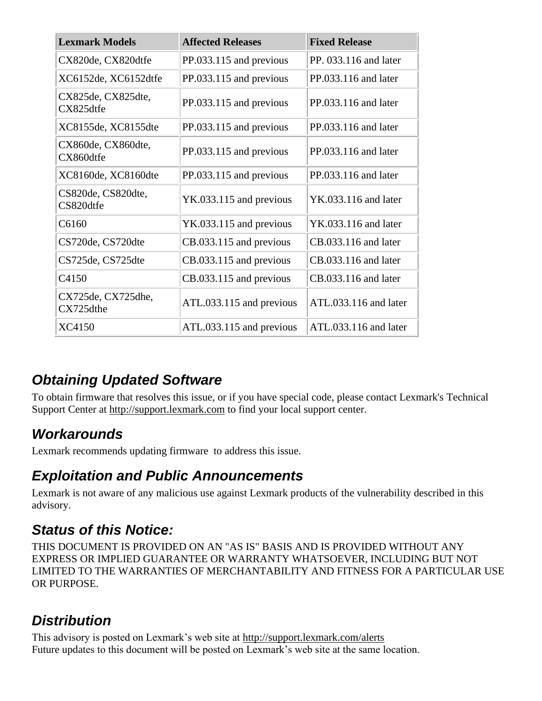| <b>Lexmark Models</b>           | <b>Affected Releases</b> | <b>Fixed Release</b>   |
|---------------------------------|--------------------------|------------------------|
| CX820de, CX820dtfe              | PP.033.115 and previous  | PP. 033.116 and later  |
| XC6152de, XC6152dtfe            | PP.033.115 and previous  | PP.033.116 and later   |
| CX825de, CX825dte,<br>CX825dtfe | PP.033.115 and previous  | $PP.033.116$ and later |
| XC8155de, XC8155dte             | PP.033.115 and previous  | $PP.033.116$ and later |
| CX860de, CX860dte,<br>CX860dtfe | PP.033.115 and previous  | $PP.033.116$ and later |
| XC8160de, XC8160dte             | PP.033.115 and previous  | $PP.033.116$ and later |
| CS820de, CS820dte,<br>CS820dtfe | YK.033.115 and previous  | YK.033.116 and later   |
| C6160                           | YK.033.115 and previous  | YK.033.116 and later   |
| CS720de, CS720dte               | CB.033.115 and previous  | $CB.033.116$ and later |
| CS725de, CS725dte               | CB.033.115 and previous  | CB.033.116 and later   |
| C4150                           | CB.033.115 and previous  | CB.033.116 and later   |
| CX725de, CX725dhe,<br>CX725dthe | ATL.033.115 and previous | ATL.033.116 and later  |
| XC4150                          | ATL.033.115 and previous | ATL.033.116 and later  |

## *Obtaining Updated Software*

To obtain firmware that resolves this issue, or if you have special code, please contact Lexmark's Technical Support Center at [http://support.lexmark.com](http://support.lexmark.com/) to find your local support center.

## *Workarounds*

Lexmark recommends updating firmware to address this issue.

#### *Exploitation and Public Announcements*

Lexmark is not aware of any malicious use against Lexmark products of the vulnerability described in this advisory.

## *Status of this Notice:*

THIS DOCUMENT IS PROVIDED ON AN "AS IS" BASIS AND IS PROVIDED WITHOUT ANY EXPRESS OR IMPLIED GUARANTEE OR WARRANTY WHATSOEVER, INCLUDING BUT NOT LIMITED TO THE WARRANTIES OF MERCHANTABILITY AND FITNESS FOR A PARTICULAR USE OR PURPOSE.

#### *Distribution*

This advisory is posted on Lexmark's web site at<http://support.lexmark.com/alerts> Future updates to this document will be posted on Lexmark's web site at the same location.